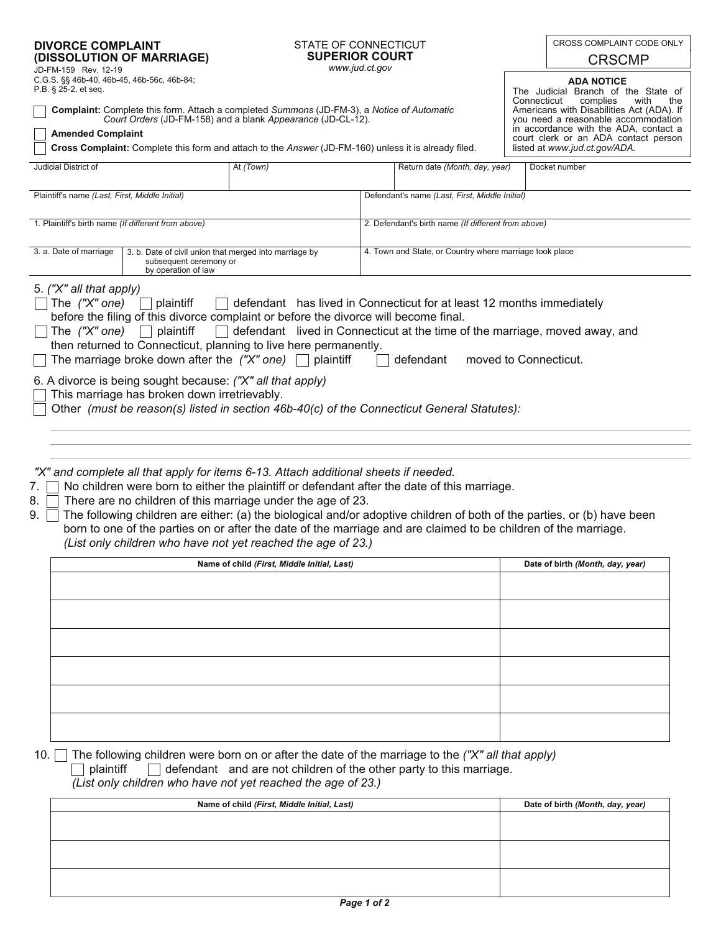| <b>DIVORCE COMPLAINT</b> |                           |
|--------------------------|---------------------------|
|                          | (DISSOLUTION OF MARRIAGE) |

## STATE OF CONNECTICUT **SUPERIOR COURT** *www.jud.ct.gov*

CROSS COMPLAINT CODE ONLY

| CRSCMP |
|--------|
|--------|

**ADA NOTICE**  The Judicial Branch of the State of<br>Connecticut complies with the Connecticut complies with the

Americans with Disabilities Act (ADA). If you need a reasonable accommodation in accordance with the ADA, contact a court clerk or an ADA contact person

listed at *www.jud.ct.gov/ADA.*

| C.G.S. §§ 46b-40, 46b-45, 46b-56c, 46b-84; |  |
|--------------------------------------------|--|
| P.B. § 25-2, et seq.                       |  |
|                                            |  |

**Complaint:** Complete this form. Attach a completed *Summons* (JD-FM-3), a *Notice of Automatic Court Orders* (JD-FM-158) and a blank *Appearance* (JD-CL-12).

## **Amended Complaint**

JD-FM-159 Rev. 12-19

**Cross Complaint:** Complete this form and attach to the *Answer* (JD-FM-160) unless it is already filed.

| Judicial District of                                |                                                                                                         | At (Town)                                           |  | Return date (Month, day, year)                          | Docket number |
|-----------------------------------------------------|---------------------------------------------------------------------------------------------------------|-----------------------------------------------------|--|---------------------------------------------------------|---------------|
| Plaintiff's name (Last, First, Middle Initial)      |                                                                                                         |                                                     |  | Defendant's name (Last, First, Middle Initial)          |               |
| 1. Plaintiff's birth name (If different from above) |                                                                                                         | 2. Defendant's birth name (If different from above) |  |                                                         |               |
| 3. a. Date of marriage                              | 3. b. Date of civil union that merged into marriage by<br>subsequent ceremony or<br>by operation of law |                                                     |  | 4. Town and State, or Country where marriage took place |               |
| 5. ("X" all that apply)                             |                                                                                                         |                                                     |  |                                                         |               |

| before the filing of this divorce complaint or before the divorce will become final.                                     |  |  |  |  |
|--------------------------------------------------------------------------------------------------------------------------|--|--|--|--|
| $\Box$ The ("X" one) $\Box$ plaintiff $\Box$ defendant lived in Connecticut at the time of the marriage, moved away, and |  |  |  |  |
| then returned to Connecticut, planning to live here permanently.                                                         |  |  |  |  |
| $\Box$ The marriage broke down after the ("X" one) $\Box$ plaintiff<br>moved to Connecticut.<br>defendant                |  |  |  |  |
| 6. A divorce is being sought because: ("X" all that apply)<br>$\Box$ This marriage has broken down irretrievably.        |  |  |  |  |
| Other (must be reason(s) listed in section 46b-40(c) of the Connecticut General Statutes):                               |  |  |  |  |
|                                                                                                                          |  |  |  |  |

The *("X" one)*  $\fbox{$  plaintiff  $\fbox{ }$  defendant  $\;$  has lived in Connecticut for at least 12 months immediately

*"X" and complete all that apply for items 6-13. Attach additional sheets if needed.*

- 7. No children were born to either the plaintiff or defendant after the date of this marriage.
- 8.  $\overline{\phantom{a}}$  There are no children of this marriage under the age of 23.
- born to one of the parties on or after the date of the marriage and are claimed to be children of the marriage. *(List only children who have not yet reached the age of 23.)* 9. The following children are either: (a) the biological and/or adoptive children of both of the parties, or (b) have been

| Name of child (First, Middle Initial, Last) | Date of birth (Month, day, year) |
|---------------------------------------------|----------------------------------|
|                                             |                                  |
|                                             |                                  |
|                                             |                                  |
|                                             |                                  |
|                                             |                                  |
|                                             |                                  |
|                                             |                                  |
|                                             |                                  |
|                                             |                                  |
|                                             |                                  |
|                                             |                                  |

10. The following children were born on or after the date of the marriage to the *("X" all that apply)* 

plaintiff  $\Box$  defendant and are not children of the other party to this marriage.

*(List only children who have not yet reached the age of 23.)*

| Name of child (First, Middle Initial, Last) | Date of birth (Month, day, year) |
|---------------------------------------------|----------------------------------|
|                                             |                                  |
|                                             |                                  |
|                                             |                                  |
|                                             |                                  |
|                                             |                                  |
|                                             |                                  |